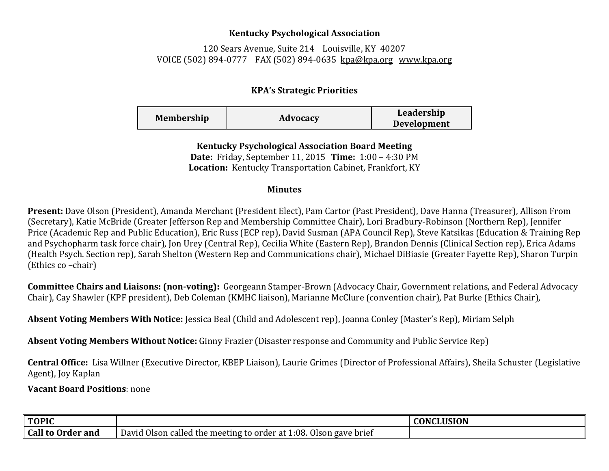## **Kentucky Psychological Association**

120 Sears Avenue, Suite 214 Louisville, KY 40207 VOICE (502) 894-0777 FAX (502) 894-0635 [kpa@kpa.org](mailto:kpa@kih.net) [www.kpa.org](http://www.kpa.org/)

## **KPA's Strategic Priorities**

| <b>Membership</b> | Advocacy | Leadership<br><b>Development</b> |
|-------------------|----------|----------------------------------|
|                   |          |                                  |

**Kentucky Psychological Association Board Meeting Date:** Friday, September 11, 2015 **Time:** 1:00 – 4:30 PM **Location:** Kentucky Transportation Cabinet, Frankfort, KY

## **Minutes**

**Present:** Dave Olson (President), Amanda Merchant (President Elect), Pam Cartor (Past President), Dave Hanna (Treasurer), Allison From (Secretary), Katie McBride (Greater Jefferson Rep and Membership Committee Chair), Lori Bradbury-Robinson (Northern Rep), Jennifer Price (Academic Rep and Public Education), Eric Russ (ECP rep), David Susman (APA Council Rep), Steve Katsikas (Education & Training Rep and Psychopharm task force chair), Jon Urey (Central Rep), Cecilia White (Eastern Rep), Brandon Dennis (Clinical Section rep), Erica Adams (Health Psych. Section rep), Sarah Shelton (Western Rep and Communications chair), Michael DiBiasie (Greater Fayette Rep), Sharon Turpin (Ethics co –chair)

**Committee Chairs and Liaisons: (non-voting):** Georgeann Stamper-Brown (Advocacy Chair, Government relations, and Federal Advocacy Chair), Cay Shawler (KPF president), Deb Coleman (KMHC liaison), Marianne McClure (convention chair), Pat Burke (Ethics Chair),

**Absent Voting Members With Notice:** Jessica Beal (Child and Adolescent rep), Joanna Conley (Master's Rep), Miriam Selph

**Absent Voting Members Without Notice:** Ginny Frazier (Disaster response and Community and Public Service Rep)

**Central Office:** Lisa Willner (Executive Director, KBEP Liaison), Laurie Grimes (Director of Professional Affairs), Sheila Schuster (Legislative Agent), Joy Kaplan

**Vacant Board Positions**: none

| ∥ TOPIC                       |                                                                                                     | <b>CONCLUSION</b> |
|-------------------------------|-----------------------------------------------------------------------------------------------------|-------------------|
| Call<br>l <b>to Order and</b> | . Olson gave brief<br>. Olson<br>1:08.<br>David<br>) called the meeting to order at $\widetilde{z}$ |                   |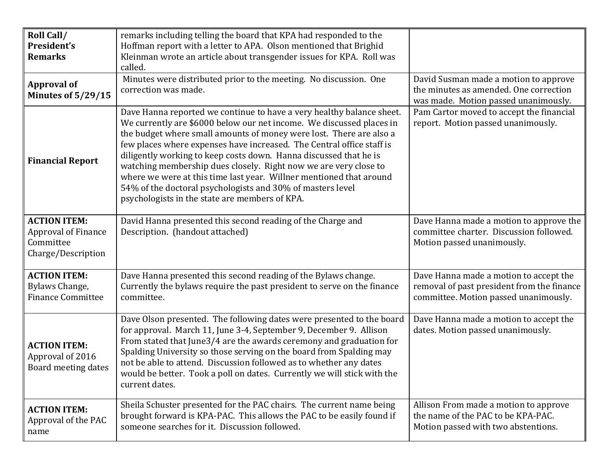| <b>Roll Call/</b><br>President's<br><b>Remarks</b>                            | remarks including telling the board that KPA had responded to the<br>Hoffman report with a letter to APA. Olson mentioned that Brighid<br>Kleinman wrote an article about transgender issues for KPA. Roll was<br>called.                                                                                                                                                                                                                                                                                                                                                                                                     |                                                                                                                               |
|-------------------------------------------------------------------------------|-------------------------------------------------------------------------------------------------------------------------------------------------------------------------------------------------------------------------------------------------------------------------------------------------------------------------------------------------------------------------------------------------------------------------------------------------------------------------------------------------------------------------------------------------------------------------------------------------------------------------------|-------------------------------------------------------------------------------------------------------------------------------|
| <b>Approval of</b><br>Minutes of 5/29/15                                      | Minutes were distributed prior to the meeting. No discussion. One<br>correction was made.                                                                                                                                                                                                                                                                                                                                                                                                                                                                                                                                     | David Susman made a motion to approve<br>the minutes as amended. One correction<br>was made. Motion passed unanimously.       |
| <b>Financial Report</b>                                                       | Dave Hanna reported we continue to have a very healthy balance sheet.<br>We currently are \$6000 below our net income. We discussed places in<br>the budget where small amounts of money were lost. There are also a<br>few places where expenses have increased. The Central office staff is<br>diligently working to keep costs down. Hanna discussed that he is<br>watching membership dues closely. Right now we are very close to<br>where we were at this time last year. Willner mentioned that around<br>54% of the doctoral psychologists and 30% of masters level<br>psychologists in the state are members of KPA. | Pam Cartor moved to accept the financial<br>report. Motion passed unanimously.                                                |
| <b>ACTION ITEM:</b><br>Approval of Finance<br>Committee<br>Charge/Description | David Hanna presented this second reading of the Charge and<br>Description. (handout attached)                                                                                                                                                                                                                                                                                                                                                                                                                                                                                                                                | Dave Hanna made a motion to approve the<br>committee charter. Discussion followed.<br>Motion passed unanimously.              |
| <b>ACTION ITEM:</b><br>Bylaws Change,<br><b>Finance Committee</b>             | Dave Hanna presented this second reading of the Bylaws change.<br>Currently the bylaws require the past president to serve on the finance<br>committee.                                                                                                                                                                                                                                                                                                                                                                                                                                                                       | Dave Hanna made a motion to accept the<br>removal of past president from the finance<br>committee. Motion passed unanimously. |
| <b>ACTION ITEM:</b><br>Approval of 2016<br>Board meeting dates                | Dave Olson presented. The following dates were presented to the board<br>for approval. March 11, June 3-4, September 9, December 9. Allison<br>From stated that June3/4 are the awards ceremony and graduation for<br>Spalding University so those serving on the board from Spalding may<br>not be able to attend. Discussion followed as to whether any dates<br>would be better. Took a poll on dates. Currently we will stick with the<br>current dates.                                                                                                                                                                  | Dave Hanna made a motion to accept the<br>dates. Motion passed unanimously.                                                   |
| <b>ACTION ITEM:</b><br>Approval of the PAC<br>name                            | Sheila Schuster presented for the PAC chairs. The current name being<br>brought forward is KPA-PAC. This allows the PAC to be easily found if<br>someone searches for it. Discussion followed.                                                                                                                                                                                                                                                                                                                                                                                                                                | Allison From made a motion to approve<br>the name of the PAC to be KPA-PAC.<br>Motion passed with two abstentions.            |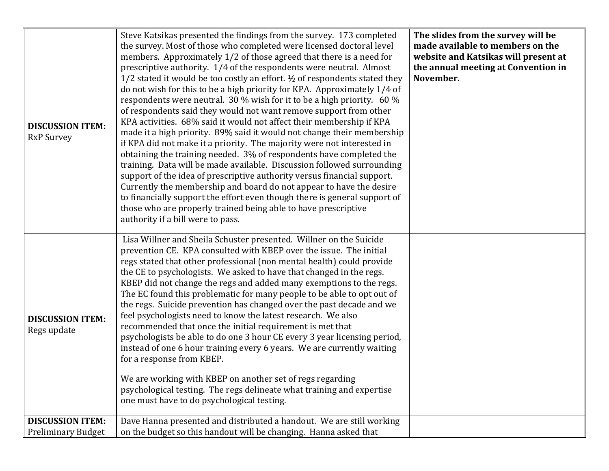| <b>DISCUSSION ITEM:</b><br><b>RxP Survey</b>         | Steve Katsikas presented the findings from the survey. 173 completed<br>the survey. Most of those who completed were licensed doctoral level<br>members. Approximately 1/2 of those agreed that there is a need for<br>prescriptive authority. 1/4 of the respondents were neutral. Almost<br>1/2 stated it would be too costly an effort. 1/2 of respondents stated they<br>do not wish for this to be a high priority for KPA. Approximately 1/4 of<br>respondents were neutral. 30 % wish for it to be a high priority. 60 %<br>of respondents said they would not want remove support from other<br>KPA activities. 68% said it would not affect their membership if KPA<br>made it a high priority. 89% said it would not change their membership<br>if KPA did not make it a priority. The majority were not interested in<br>obtaining the training needed. 3% of respondents have completed the<br>training. Data will be made available. Discussion followed surrounding<br>support of the idea of prescriptive authority versus financial support.<br>Currently the membership and board do not appear to have the desire<br>to financially support the effort even though there is general support of<br>those who are properly trained being able to have prescriptive<br>authority if a bill were to pass. | The slides from the survey will be<br>made available to members on the<br>website and Katsikas will present at<br>the annual meeting at Convention in<br>November. |
|------------------------------------------------------|-------------------------------------------------------------------------------------------------------------------------------------------------------------------------------------------------------------------------------------------------------------------------------------------------------------------------------------------------------------------------------------------------------------------------------------------------------------------------------------------------------------------------------------------------------------------------------------------------------------------------------------------------------------------------------------------------------------------------------------------------------------------------------------------------------------------------------------------------------------------------------------------------------------------------------------------------------------------------------------------------------------------------------------------------------------------------------------------------------------------------------------------------------------------------------------------------------------------------------------------------------------------------------------------------------------------------|--------------------------------------------------------------------------------------------------------------------------------------------------------------------|
| <b>DISCUSSION ITEM:</b><br>Regs update               | Lisa Willner and Sheila Schuster presented. Willner on the Suicide<br>prevention CE. KPA consulted with KBEP over the issue. The initial<br>regs stated that other professional (non mental health) could provide<br>the CE to psychologists. We asked to have that changed in the regs.<br>KBEP did not change the regs and added many exemptions to the regs.<br>The EC found this problematic for many people to be able to opt out of<br>the regs. Suicide prevention has changed over the past decade and we<br>feel psychologists need to know the latest research. We also<br>recommended that once the initial requirement is met that<br>psychologists be able to do one 3 hour CE every 3 year licensing period,<br>instead of one 6 hour training every 6 years. We are currently waiting<br>for a response from KBEP.<br>We are working with KBEP on another set of regs regarding<br>psychological testing. The regs delineate what training and expertise<br>one must have to do psychological testing.                                                                                                                                                                                                                                                                                                   |                                                                                                                                                                    |
| <b>DISCUSSION ITEM:</b><br><b>Preliminary Budget</b> | Dave Hanna presented and distributed a handout. We are still working<br>on the budget so this handout will be changing. Hanna asked that                                                                                                                                                                                                                                                                                                                                                                                                                                                                                                                                                                                                                                                                                                                                                                                                                                                                                                                                                                                                                                                                                                                                                                                |                                                                                                                                                                    |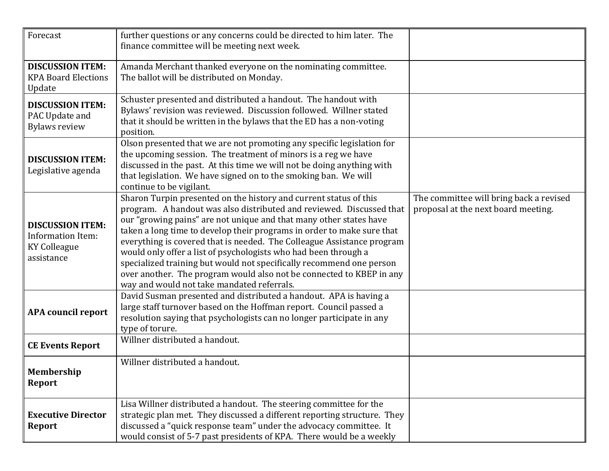| Forecast                                                                                 | further questions or any concerns could be directed to him later. The<br>finance committee will be meeting next week.                                                                                                                                                                                                                                                                                                                                                                                                                                                                                                                |                                                                                |
|------------------------------------------------------------------------------------------|--------------------------------------------------------------------------------------------------------------------------------------------------------------------------------------------------------------------------------------------------------------------------------------------------------------------------------------------------------------------------------------------------------------------------------------------------------------------------------------------------------------------------------------------------------------------------------------------------------------------------------------|--------------------------------------------------------------------------------|
| <b>DISCUSSION ITEM:</b><br><b>KPA Board Elections</b><br>Update                          | Amanda Merchant thanked everyone on the nominating committee.<br>The ballot will be distributed on Monday.                                                                                                                                                                                                                                                                                                                                                                                                                                                                                                                           |                                                                                |
| <b>DISCUSSION ITEM:</b><br>PAC Update and<br><b>Bylaws review</b>                        | Schuster presented and distributed a handout. The handout with<br>Bylaws' revision was reviewed. Discussion followed. Willner stated<br>that it should be written in the bylaws that the ED has a non-voting<br>position.                                                                                                                                                                                                                                                                                                                                                                                                            |                                                                                |
| <b>DISCUSSION ITEM:</b><br>Legislative agenda                                            | Olson presented that we are not promoting any specific legislation for<br>the upcoming session. The treatment of minors is a reg we have<br>discussed in the past. At this time we will not be doing anything with<br>that legislation. We have signed on to the smoking ban. We will<br>continue to be vigilant.                                                                                                                                                                                                                                                                                                                    |                                                                                |
| <b>DISCUSSION ITEM:</b><br><b>Information Item:</b><br><b>KY Colleague</b><br>assistance | Sharon Turpin presented on the history and current status of this<br>program. A handout was also distributed and reviewed. Discussed that<br>our "growing pains" are not unique and that many other states have<br>taken a long time to develop their programs in order to make sure that<br>everything is covered that is needed. The Colleague Assistance program<br>would only offer a list of psychologists who had been through a<br>specialized training but would not specifically recommend one person<br>over another. The program would also not be connected to KBEP in any<br>way and would not take mandated referrals. | The committee will bring back a revised<br>proposal at the next board meeting. |
| <b>APA council report</b>                                                                | David Susman presented and distributed a handout. APA is having a<br>large staff turnover based on the Hoffman report. Council passed a<br>resolution saying that psychologists can no longer participate in any<br>type of torure.                                                                                                                                                                                                                                                                                                                                                                                                  |                                                                                |
| <b>CE Events Report</b>                                                                  | Willner distributed a handout.                                                                                                                                                                                                                                                                                                                                                                                                                                                                                                                                                                                                       |                                                                                |
| Membership<br>Report                                                                     | Willner distributed a handout.                                                                                                                                                                                                                                                                                                                                                                                                                                                                                                                                                                                                       |                                                                                |
| <b>Executive Director</b><br>Report                                                      | Lisa Willner distributed a handout. The steering committee for the<br>strategic plan met. They discussed a different reporting structure. They<br>discussed a "quick response team" under the advocacy committee. It<br>would consist of 5-7 past presidents of KPA. There would be a weekly                                                                                                                                                                                                                                                                                                                                         |                                                                                |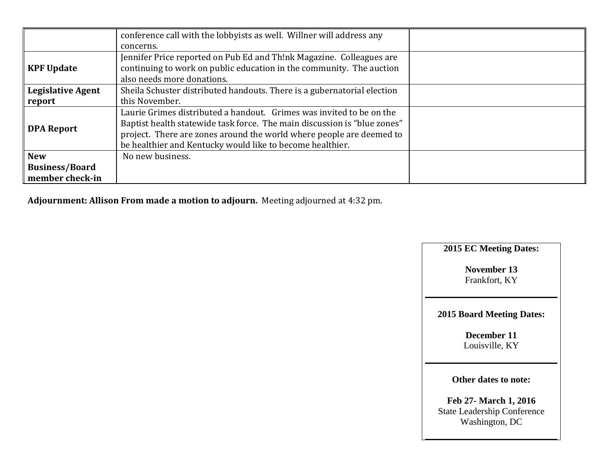|                          | conference call with the lobbyists as well. Willner will address any     |
|--------------------------|--------------------------------------------------------------------------|
|                          | concerns.                                                                |
|                          | Jennifer Price reported on Pub Ed and Th!nk Magazine. Colleagues are     |
| <b>KPF Update</b>        | continuing to work on public education in the community. The auction     |
|                          | also needs more donations.                                               |
| <b>Legislative Agent</b> | Sheila Schuster distributed handouts. There is a gubernatorial election  |
| report                   | this November.                                                           |
|                          | Laurie Grimes distributed a handout. Grimes was invited to be on the     |
|                          | Baptist health statewide task force. The main discussion is "blue zones" |
| <b>DPA Report</b>        | project. There are zones around the world where people are deemed to     |
|                          | be healthier and Kentucky would like to become healthier.                |
| <b>New</b>               | No new business.                                                         |
| <b>Business/Board</b>    |                                                                          |
| member check-in          |                                                                          |

**Adjournment: Allison From made a motion to adjourn.** Meeting adjourned at 4:32 pm.

**2015 EC Meeting Dates:**

**November 13** Frankfort, KY

**2015 Board Meeting Dates:**

**December 11** Louisville, KY

**Other dates to note:**

**Feb 27- March 1, 2016** State Leadership Conference Washington, DC